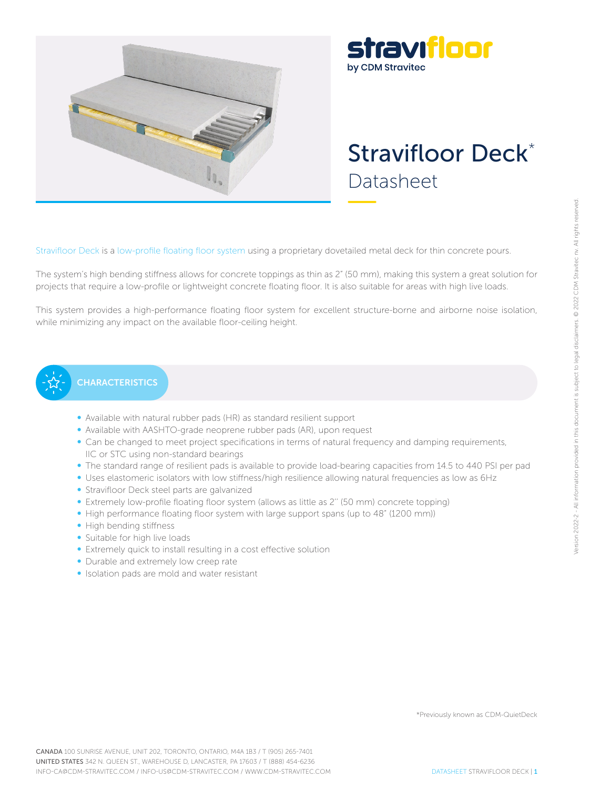

## stravıfloor by CDM Stravitec

# Stravifloor Deck\* Datasheet

Stravifloor Deck is a low-profile floating floor system using a proprietary dovetailed metal deck for thin concrete pours.

The system's high bending stiffness allows for concrete toppings as thin as 2" (50 mm), making this system a great solution for projects that require a low-profile or lightweight concrete floating floor. It is also suitable for areas with high live loads.

This system provides a high-performance floating floor system for excellent structure-borne and airborne noise isolation, while minimizing any impact on the available floor-ceiling height.

## **CHARACTERISTICS**

- Available with natural rubber pads (HR) as standard resilient support
- Available with AASHTO-grade neoprene rubber pads (AR), upon request
- Can be changed to meet project specifications in terms of natural frequency and damping requirements, IIC or STC using non-standard bearings
- The standard range of resilient pads is available to provide load-bearing capacities from 14.5 to 440 PSI per pad
- Uses elastomeric isolators with low stiffness/high resilience allowing natural frequencies as low as 6Hz
- Stravifloor Deck steel parts are galvanized
- Extremely low-profile floating floor system (allows as little as 2'' (50 mm) concrete topping)
- High performance floating floor system with large support spans (up to 48" (1200 mm))
- High bending stiffness
- Suitable for high live loads
- Extremely quick to install resulting in a cost effective solution
- Durable and extremely low creep rate
- Isolation pads are mold and water resistant

\*Previously known as CDM-QuietDeck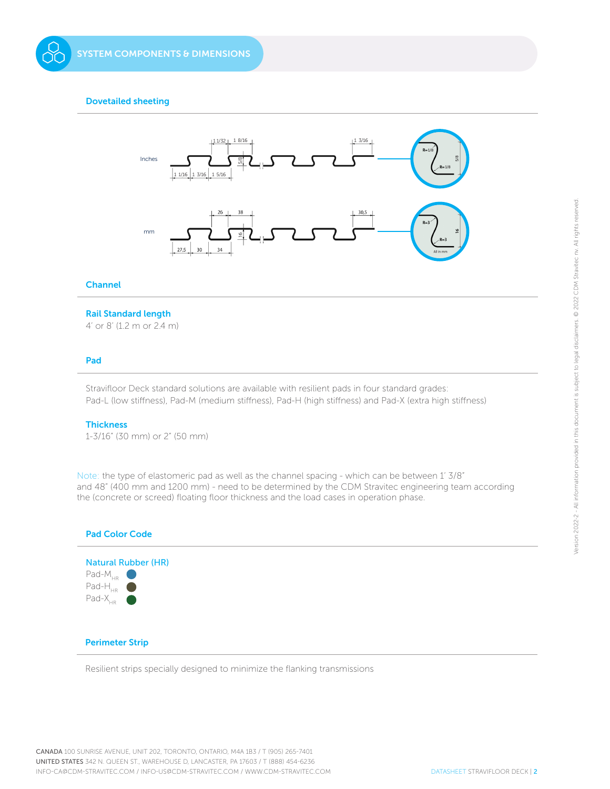#### Dovetailed sheeting



#### Channel

#### Rail Standard length

4' or 8' (1.2 m or 2.4 m)

#### Pad

Stravifloor Deck standard solutions are available with resilient pads in four standard grades: Pad-L (low stiffness), Pad-M (medium stiffness), Pad-H (high stiffness) and Pad-X (extra high stiffness)

#### **Thickness**

1-3/16" (30 mm) or 2" (50 mm)

Note: the type of elastomeric pad as well as the channel spacing - which can be between 1' 3/8" and 48" (400 mm and 1200 mm) - need to be determined by the CDM Stravitec engineering team according the (concrete or screed) floating floor thickness and the load cases in operation phase.



Resilient strips specially designed to minimize the flanking transmissions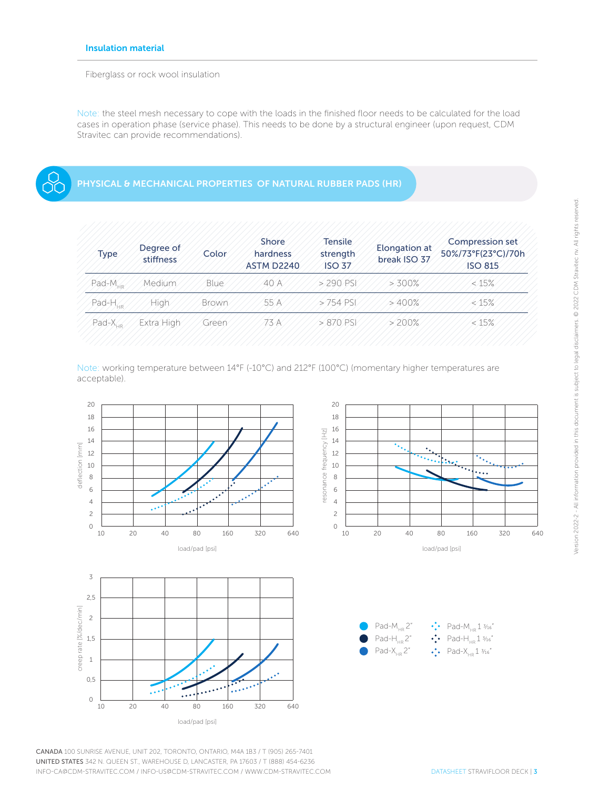Fiberglass or rock wool insulation

Note: the steel mesh necessary to cope with the loads in the finished floor needs to be calculated for the load cases in operation phase (service phase). This needs to be done by a structural engineer (upon request, CDM Stravitec can provide recommendations).

### PHYSICAL & MECHANICAL PROPERTIES OF NATURAL RUBBER PADS (HR)

| <b>Type</b>         | Degree of<br>stiffness | Color       | Shore<br>hardness<br><b>ASTM D2240</b> | <b>Tensile</b><br>strength<br><b>ISO 37</b> | Elongation at<br>break ISO 37 | Compression set<br>50%/73°F(23°C)/70h<br><b>ISO 815</b> |
|---------------------|------------------------|-------------|----------------------------------------|---------------------------------------------|-------------------------------|---------------------------------------------------------|
| $Pad-MHP$           | Medium                 | <b>Blue</b> | 40 A                                   | $> 290$ PSI                                 | $> 300\%$                     | &45%                                                    |
| Pad-H <sub>us</sub> | High                   | Brown       | 55 A                                   | $5754$ PSI                                  | $>400\%$                      | $\ll$ 15%                                               |
| $Pad-X_{10}$        | Extra High             | Green       | 773 A                                  | $>870$ PSI                                  | $> 200\%$                     | &15%                                                    |

Note: working temperature between 14°F (-10°C) and 212°F (100°C) (momentary higher temperatures are acceptable).



CANADA 100 SUNRISE AVENUE, UNIT 202, TORONTO, ONTARIO, M4A 1B3 / T (905) 265-7401 UNITED STATES 342 N. QUEEN ST., WAREHOUSE D, LANCASTER, PA 17603 / T (888) 454-6236 INFO-CA@CDM-STRAVITEC.COM / INFO-US@CDM-STRAVITEC.COM / WWW.CDM-STRAVITEC.COM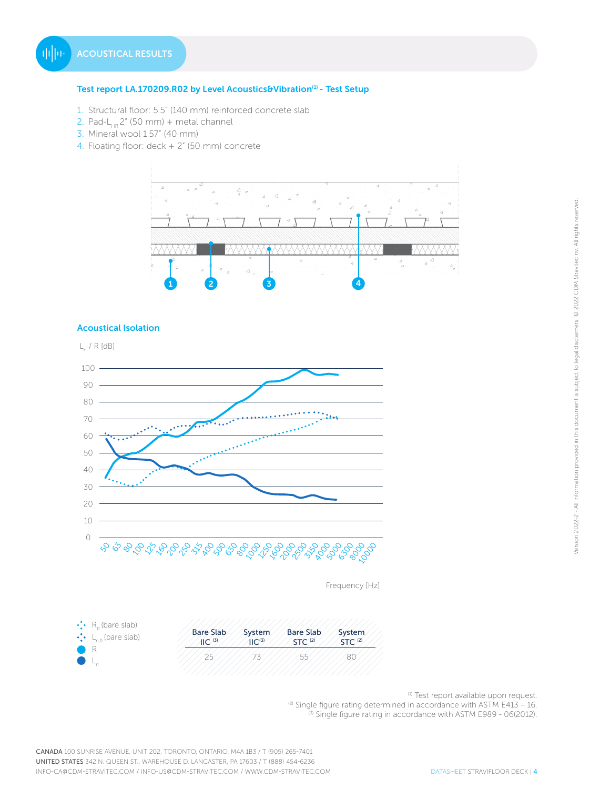#### Test report LA.170209.R02 by Level Acoustics&Vibration<sup>(1)</sup> - Test Setup

- 1. Structural floor: 5.5" (140 mm) reinforced concrete slab
- 2. Pad-L<sub>HR</sub> 2" (50 mm) + metal channel
- 3. Mineral wool 1.57" (40 mm)
- 4. Floating floor: deck + 2" (50 mm) concrete



#### Acoustical Isolation



Frequency [Hz]

| $\cdot$ R <sub>o</sub> (bare slab)   | <b>Bare Slab</b>    | System              | <b>Bare Slab</b>   | System             |
|--------------------------------------|---------------------|---------------------|--------------------|--------------------|
| $\cdot$ L <sub>n.0</sub> (bare slab) | $\parallel$ C $(3)$ | $\mathsf{HC}^{(3)}$ | STC <sup>(2)</sup> | STC <sup>(2)</sup> |
|                                      | つに                  |                     | 55                 | 80                 |

(1) Test report available upon request.

<sup>(2)</sup> Single figure rating determined in accordance with ASTM E413 – 16. <sup>(3)</sup> Single figure rating in accordance with ASTM E989 - 06(2012).